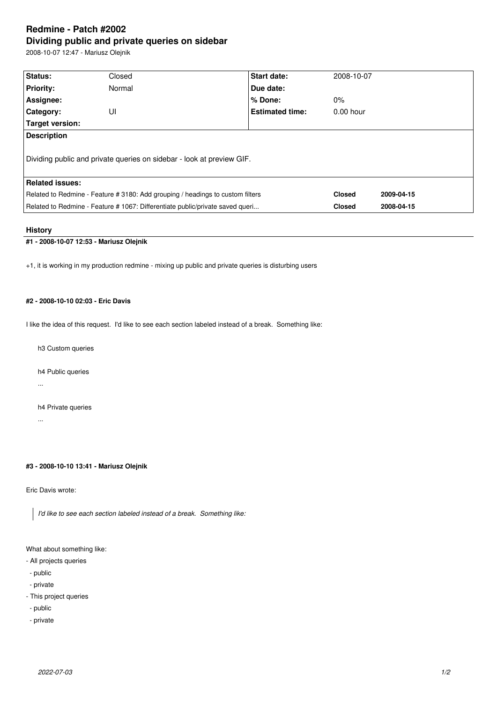# **Redmine - Patch #2002 Dividing public and private queries on sidebar**

2008-10-07 12:47 - Mariusz Olejnik

| <b>Status:</b>                                                                 |        |                        |               |            |  |  |
|--------------------------------------------------------------------------------|--------|------------------------|---------------|------------|--|--|
|                                                                                | Closed | Start date:            | 2008-10-07    |            |  |  |
| <b>Priority:</b>                                                               | Normal | Due date:              |               |            |  |  |
| Assignee:                                                                      |        | % Done:                | $0\%$         |            |  |  |
| Category:                                                                      | UI     | <b>Estimated time:</b> | $0.00$ hour   |            |  |  |
| Target version:                                                                |        |                        |               |            |  |  |
| <b>Description</b>                                                             |        |                        |               |            |  |  |
| Dividing public and private queries on sidebar - look at preview GIF.          |        |                        |               |            |  |  |
| <b>Related issues:</b>                                                         |        |                        |               |            |  |  |
| Related to Redmine - Feature # 3180: Add grouping / headings to custom filters |        |                        | <b>Closed</b> | 2009-04-15 |  |  |
| Related to Redmine - Feature # 1067: Differentiate public/private saved queri  |        |                        | <b>Closed</b> | 2008-04-15 |  |  |
|                                                                                |        |                        |               |            |  |  |

### **History**

# **#1 - 2008-10-07 12:53 - Mariusz Olejnik**

+1, it is working in my production redmine - mixing up public and private queries is disturbing users

# **#2 - 2008-10-10 02:03 - Eric Davis**

I like the idea of this request. I'd like to see each section labeled instead of a break. Something like:

h3 Custom queries

h4 Public queries

...

h4 Private queries

...

# **#3 - 2008-10-10 13:41 - Mariusz Olejnik**

Eric Davis wrote:

*I'd like to see each section labeled instead of a break. Something like:*

What about something like:

- All projects queries
- public
- private
- This project queries
- public
- private